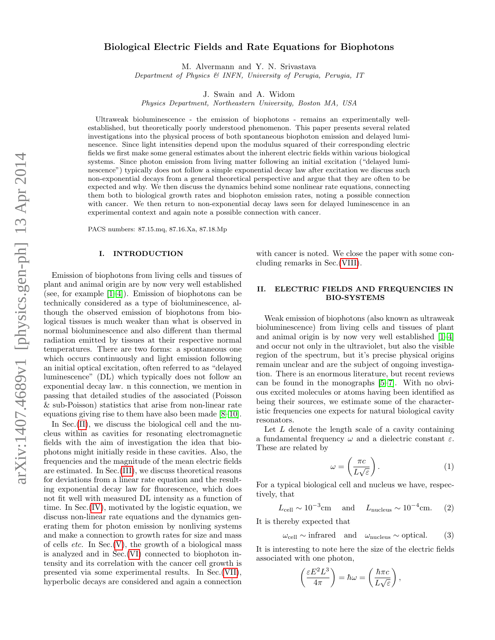# Biological Electric Fields and Rate Equations for Biophotons

M. Alvermann and Y. N. Srivastava

Department of Physics & INFN, University of Perugia, Perugia, IT

J. Swain and A. Widom

Physics Department, Northeastern University, Boston MA, USA

Ultraweak bioluminescence - the emission of biophotons - remains an experimentally wellestablished, but theoretically poorly understood phenomenon. This paper presents several related investigations into the physical process of both spontaneous biophoton emission and delayed luminescence. Since light intensities depend upon the modulus squared of their corresponding electric fields we first make some general estimates about the inherent electric fields within various biological systems. Since photon emission from living matter following an initial excitation ("delayed luminescence") typically does not follow a simple exponential decay law after excitation we discuss such non-exponential decays from a general theoretical perspective and argue that they are often to be expected and why. We then discuss the dynamics behind some nonlinear rate equations, connecting them both to biological growth rates and biophoton emission rates, noting a possible connection with cancer. We then return to non-exponential decay laws seen for delayed luminescence in an experimental context and again note a possible connection with cancer.

PACS numbers: 87.15.mq, 87.16.Xa, 87.18.Mp

### I. INTRODUCTION

Emission of biophotons from living cells and tissues of plant and animal origin are by now very well established (see, for example [\[1–](#page-4-0)[4\]](#page-4-1)). Emission of biophotons can be technically considered as a type of bioluminescence, although the observed emission of biophotons from biological tissues is much weaker than what is observed in normal bioluminescence and also different than thermal radiation emitted by tissues at their respective normal temperatures. There are two forms: a spontaneous one which occurs continuously and light emission following an initial optical excitation, often referred to as "delayed luminescence" (DL) which typically does not follow an exponential decay law. n this connection, we mention in passing that detailed studies of the associated (Poisson & sub-Poisson) statistics that arise from non-linear rate equations giving rise to them have also been made [\[8–](#page-4-2)[10\]](#page-4-3).

In Sec. [\(II\)](#page-0-0), we discuss the biological cell and the nucleus within as cavities for resonating electromagnetic fields with the aim of investigation the idea that biophotons might initially reside in these cavities. Also, the frequencies and the magnitude of the mean electric fields are estimated. In Sec.[\(III\)](#page-1-0), we discuss theoretical reasons for deviations from a linear rate equation and the resulting exponential decay law for fluorescence, which does not fit well with measured DL intensity as a function of time. In Sec.[\(IV\)](#page-2-0), motivated by the logistic equation, we discuss non-linear rate equations and the dynamics generating them for photon emission by nonliving systems and make a connection to growth rates for size and mass of cells *etc.* In  $Sec.(V)$  $Sec.(V)$ , the growth of a biological mass is analyzed and in Sec.[\(VI\)](#page-3-0) connected to biophoton intensity and its correlation with the cancer cell growth is presented via some experimental results. In Sec.[\(VII\)](#page-3-1), hyperbolic decays are considered and again a connection

with cancer is noted. We close the paper with some concluding remarks in Sec.[\(VIII\)](#page-3-2).

# <span id="page-0-0"></span>II. ELECTRIC FIELDS AND FREQUENCIES IN BIO-SYSTEMS

Weak emission of biophotons (also known as ultraweak bioluminescence) from living cells and tissues of plant and animal origin is by now very well established [\[1](#page-4-0)[–4\]](#page-4-1) and occur not only in the ultraviolet, but also the visible region of the spectrum, but it's precise physical origins remain unclear and are the subject of ongoing investigation. There is an enormous literature, but recent reviews can be found in the monographs [\[5–](#page-4-4)[7\]](#page-4-5). With no obvious excited molecules or atoms having been identified as being their sources, we estimate some of the characteristic frequencies one expects for natural biological cavity resonators.

Let  $L$  denote the length scale of a cavity containing a fundamental frequency  $\omega$  and a dielectric constant  $\varepsilon$ . These are related by

<span id="page-0-1"></span>
$$
\omega = \left(\frac{\pi c}{L\sqrt{\varepsilon}}\right). \tag{1}
$$

For a typical biological cell and nucleus we have, respectively, that

$$
L_{\text{cell}} \sim 10^{-3} \text{cm} \quad \text{and} \quad L_{\text{nucleus}} \sim 10^{-4} \text{cm}. \tag{2}
$$

It is thereby expected that

 $\omega_{\text{cell}} \sim \text{infrared} \quad \text{and} \quad \omega_{\text{nucleus}} \sim \text{optical}.$  (3)

It is interesting to note here the size of the electric fields associated with one photon,

$$
\left(\frac{\varepsilon E^2 L^3}{4\pi}\right) = \hbar \omega = \left(\frac{\hbar \pi c}{L\sqrt{\varepsilon}}\right),\,
$$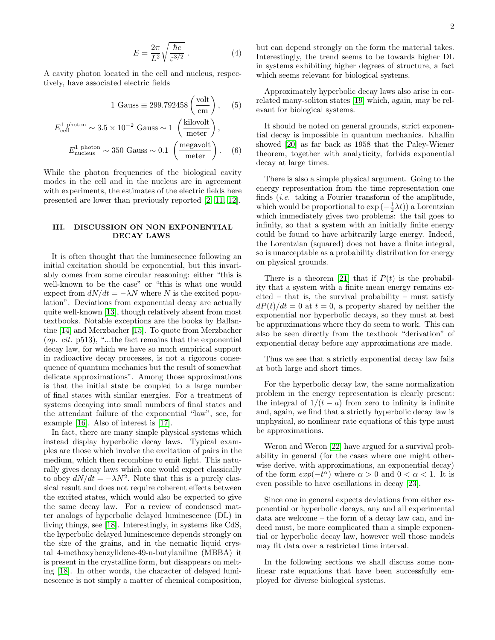$$
E = \frac{2\pi}{L^2} \sqrt{\frac{\hbar c}{\varepsilon^{3/2}}} \ . \tag{4}
$$

A cavity photon located in the cell and nucleus, respectively, have associated electric fields

$$
1 \text{ Gauss} \equiv 299.792458 \left(\frac{\text{volt}}{\text{cm}}\right), \quad (5)
$$

$$
E_{\text{cell}}^{1 \text{ photon}} \sim 3.5 \times 10^{-2} \text{ Gauss} \sim 1 \left(\frac{\text{kilovolt}}{\text{meter}}\right),
$$

$$
E_{\text{nucleus}}^{1 \text{ photon}} \sim 350 \text{ Gauss} \sim 0.1 \left(\frac{\text{megavolt}}{\text{meter}}\right). \quad (6)
$$

While the photon frequencies of the biological cavity modes in the cell and in the nucleus are in agreement with experiments, the estimates of the electric fields here presented are lower than previously reported [\[2,](#page-4-6) [11,](#page-4-7) [12\]](#page-4-8).

### <span id="page-1-0"></span>III. DISCUSSION ON NON EXPONENTIAL DECAY LAWS

It is often thought that the luminescence following an initial excitation should be exponential, but this invariably comes from some circular reasoning: either "this is well-known to be the case" or "this is what one would expect from  $dN/dt = -\lambda N$  where N is the excited population". Deviations from exponential decay are actually quite well-known [\[13\]](#page-4-9), though relatively absent from most textbooks. Notable exceptions are the books by Ballantine [\[14\]](#page-4-10) and Merzbacher [\[15\]](#page-4-11). To quote from Merzbacher  $(op. cit. p513),$  "...the fact remains that the exponential decay law, for which we have so much empirical support in radioactive decay processes, is not a rigorous consequence of quantum mechanics but the result of somewhat delicate approximations". Among those approximations is that the initial state be coupled to a large number of final states with similar energies. For a treatment of systems decaying into small numbers of final states and the attendant failure of the exponential "law", see, for example [\[16\]](#page-4-12). Also of interest is [\[17\]](#page-4-13).

In fact, there are many simple physical systems which instead display hyperbolic decay laws. Typical examples are those which involve the excitation of pairs in the medium, which then recombine to emit light. This naturally gives decay laws which one would expect classically to obey  $dN/dt = -\lambda N^2$ . Note that this is a purely classical result and does not require coherent effects between the excited states, which would also be expected to give the same decay law. For a review of condensed matter analogs of hyperbolic delayed luminescence (DL) in living things, see [\[18\]](#page-4-14). Interestingly, in systems like CdS, the hyperbolic delayed luminescence depends strongly on the size of the grains, and in the nematic liquid crystal 4-methoxybenzylidene-49-n-butylaniline (MBBA) it is present in the crystalline form, but disappears on melting [\[18\]](#page-4-14). In other words, the character of delayed luminescence is not simply a matter of chemical composition,

but can depend strongly on the form the material takes. Interestingly, the trend seems to be towards higher DL in systems exhibiting higher degrees of structure, a fact which seems relevant for biological systems.

Approximately hyperbolic decay laws also arise in correlated many-soliton states [\[19\]](#page-4-15) which, again, may be relevant for biological systems.

It should be noted on general grounds, strict exponential decay is impossible in quantum mechanics. Khalfin showed [\[20\]](#page-4-16) as far back as 1958 that the Paley-Wiener theorem, together with analyticity, forbids exponential decay at large times.

There is also a simple physical argument. Going to the energy representation from the time representation one finds (i.e. taking a Fourier transform of the amplitude, which would be proportional to  $\exp\left(-\frac{1}{2}\lambda t\right)$  a Lorentzian which immediately gives two problems: the tail goes to infinity, so that a system with an initially finite energy could be found to have arbitrarily large energy. Indeed, the Lorentzian (squared) does not have a finite integral, so is unacceptable as a probability distribution for energy on physical grounds.

There is a theorem [\[21\]](#page-4-17) that if  $P(t)$  is the probability that a system with a finite mean energy remains ex $cited - that$  is, the survival probability – must satisfy  $dP(t)/dt = 0$  at  $t = 0$ , a property shared by neither the exponential nor hyperbolic decays, so they must at best be approximations where they do seem to work. This can also be seen directly from the textbook "derivation" of exponential decay before any approximations are made.

Thus we see that a strictly exponential decay law fails at both large and short times.

For the hyperbolic decay law, the same normalization problem in the energy representation is clearly present: the integral of  $1/(t - a)$  from zero to infinity is infinite and, again, we find that a strictly hyperbolic decay law is unphysical, so nonlinear rate equations of this type must be approximations.

Weron and Weron [\[22\]](#page-4-18) have argued for a survival probability in general (for the cases where one might otherwise derive, with approximations, an exponential decay) of the form  $exp(-t^{\alpha})$  where  $\alpha > 0$  and  $0 < \alpha < 1$ . It is even possible to have oscillations in decay [\[23\]](#page-4-19).

Since one in general expects deviations from either exponential or hyperbolic decays, any and all experimental data are welcome – the form of a decay law can, and indeed must, be more complicated than a simple exponential or hyperbolic decay law, however well those models may fit data over a restricted time interval.

In the following sections we shall discuss some nonlinear rate equations that have been successfully employed for diverse biological systems.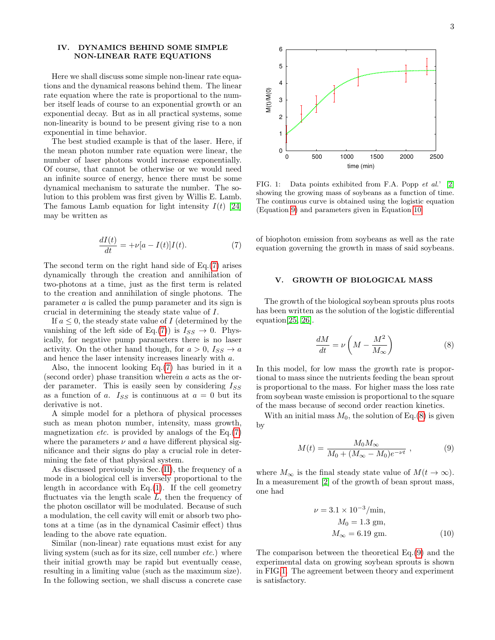### <span id="page-2-0"></span>IV. DYNAMICS BEHIND SOME SIMPLE NON-LINEAR RATE EQUATIONS

Here we shall discuss some simple non-linear rate equations and the dynamical reasons behind them. The linear rate equation where the rate is proportional to the number itself leads of course to an exponential growth or an exponential decay. But as in all practical systems, some non-linearity is bound to be present giving rise to a non exponential in time behavior.

The best studied example is that of the laser. Here, if the mean photon number rate equation were linear, the number of laser photons would increase exponentially. Of course, that cannot be otherwise or we would need an infinite source of energy, hence there must be some dynamical mechanism to saturate the number. The solution to this problem was first given by Willis E. Lamb. The famous Lamb equation for light intensity  $I(t)$  [\[24\]](#page-4-20) may be written as

<span id="page-2-2"></span>
$$
\frac{dI(t)}{dt} = +\nu[a - I(t)]I(t). \tag{7}
$$

The second term on the right hand side of Eq.[\(7\)](#page-2-2) arises dynamically through the creation and annihilation of two-photons at a time, just as the first term is related to the creation and annihilation of single photons. The parameter a is called the pump parameter and its sign is crucial in determining the steady state value of I.

If  $a \leq 0$ , the steady state value of I (determined by the vanishing of the left side of Eq.[\(7\)](#page-2-2)) is  $I_{SS} \rightarrow 0$ . Physically, for negative pump parameters there is no laser activity. On the other hand though, for  $a > 0$ ,  $I_{SS} \rightarrow a$ and hence the laser intensity increases linearly with a.

Also, the innocent looking Eq.[\(7\)](#page-2-2) has buried in it a (second order) phase transition wherein a acts as the order parameter. This is easily seen by considering  $I_{SS}$ as a function of a.  $I_{SS}$  is continuous at  $a = 0$  but its derivative is not.

A simple model for a plethora of physical processes such as mean photon number, intensity, mass growth, magnetization *etc.* is provided by analogs of the  $Eq.(7)$  $Eq.(7)$ where the parameters  $\nu$  and a have different physical significance and their signs do play a crucial role in determining the fate of that physical system.

As discussed previously in Sec.[\(II\)](#page-0-0), the frequency of a mode in a biological cell is inversely proportional to the length in accordance with  $Eq.(1)$  $Eq.(1)$ . If the cell geometry fluctuates via the length scale  $L$ , then the frequency of the photon oscillator will be modulated. Because of such a modulation, the cell cavity will emit or absorb two photons at a time (as in the dynamical Casimir effect) thus leading to the above rate equation.

Similar (non-linear) rate equations must exist for any living system (such as for its size, cell number *etc.*) where their initial growth may be rapid but eventually cease, resulting in a limiting value (such as the maximum size). In the following section, we shall discuss a concrete case



<span id="page-2-6"></span>FIG. 1: Data points exhibited from F.A. Popp et al.' [\[2\]](#page-4-6) showing the growing mass of soybeans as a function of time. The continuous curve is obtained using the logistic equation (Equation [9\)](#page-2-3) and parameters given in Equation [10.](#page-2-4)

of biophoton emission from soybeans as well as the rate equation governing the growth in mass of said soybeans.

### <span id="page-2-1"></span>V. GROWTH OF BIOLOGICAL MASS

The growth of the biological soybean sprouts plus roots has been written as the solution of the logistic differential equation[\[25,](#page-4-21) [26\]](#page-4-22).

<span id="page-2-5"></span>
$$
\frac{dM}{dt} = \nu \left( M - \frac{M^2}{M_\infty} \right) \tag{8}
$$

In this model, for low mass the growth rate is proportional to mass since the nutrients feeding the bean sprout is proportional to the mass. For higher mass the loss rate from soybean waste emission is proportional to the square of the mass because of second order reaction kinetics.

With an initial mass  $M_0$ , the solution of Eq.[\(8\)](#page-2-5) is given by

<span id="page-2-3"></span>
$$
M(t) = \frac{M_0 M_\infty}{M_0 + (M_\infty - M_0)e^{-\nu t}} , \qquad (9)
$$

where  $M_{\infty}$  is the final steady state value of  $M(t \to \infty)$ . In a measurement [\[2\]](#page-4-6) of the growth of bean sprout mass, one had

<span id="page-2-4"></span>
$$
\nu = 3.1 \times 10^{-3} / \text{min}, \nM_0 = 1.3 \text{ gm}, \nM_{\infty} = 6.19 \text{ gm}.
$$
\n(10)

The comparison between the theoretical Eq.[\(9\)](#page-2-3) and the experimental data on growing soybean sprouts is shown in FIG[.1.](#page-2-6) The agreement between theory and experiment is satisfactory.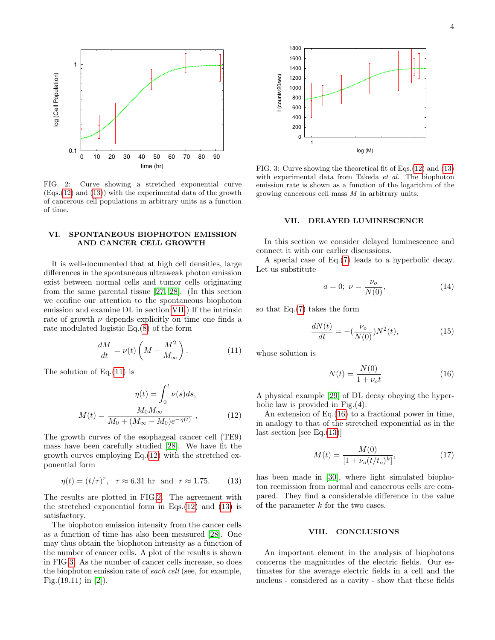

<span id="page-3-6"></span>FIG. 2: Curve showing a stretched exponential curve  $(Eqs.(12)$  $(Eqs.(12)$  and  $(13)$ ) with the experimental data of the growth of cancerous cell populations in arbitrary units as a function of time.

# <span id="page-3-0"></span>VI. SPONTANEOUS BIOPHOTON EMISSION AND CANCER CELL GROWTH

It is well-documented that at high cell densities, large differences in the spontaneous ultraweak photon emission exist between normal cells and tumor cells originating from the same parental tissue [\[27,](#page-4-23) [28\]](#page-5-0). (In this section we confine our attention to the spontaneous biophoton emission and examine DL in section [VII.](#page-3-1)) If the intrinsic rate of growth  $\nu$  depends explicitly on time one finds a rate modulated logistic Eq.[\(8\)](#page-2-5) of the form

<span id="page-3-5"></span>
$$
\frac{dM}{dt} = \nu(t) \left( M - \frac{M^2}{M_\infty} \right). \tag{11}
$$

The solution of  $Eq.(11)$  $Eq.(11)$  is

<span id="page-3-3"></span>
$$
\eta(t) = \int_0^t \nu(s)ds,
$$

$$
M(t) = \frac{M_0 M_\infty}{M_0 + (M_\infty - M_0)e^{-\eta(t)}},
$$
(12)

The growth curves of the esophageal cancer cell (TE9) mass have been carefully studied [\[28\]](#page-5-0). We have fit the growth curves employing  $Eq.(12)$  $Eq.(12)$  with the stretched exponential form

<span id="page-3-4"></span>
$$
\eta(t) = (t/\tau)^r, \quad \tau \approx 6.31 \text{ hr} \text{ and } r \approx 1.75. \tag{13}
$$

The results are plotted in FIG[.2.](#page-3-6) The agreement with the stretched exponential form in Eqs. $(12)$  and  $(13)$  is satisfactory.

The biophoton emission intensity from the cancer cells as a function of time has also been measured [\[28\]](#page-5-0). One may thus obtain the biophoton intensity as a function of the number of cancer cells. A plot of the results is shown in FIG[.3.](#page-3-7) As the number of cancer cells increase, so does the biophoton emission rate of each cell (see, for example, Fig. $(19.11)$  in [\[2\]](#page-4-6)).



<span id="page-3-7"></span>FIG. 3: Curve showing the theoretical fit of Eqs.[\(12\)](#page-3-3) and [\(13\)](#page-3-4) with experimental data from Takeda et al. The biophoton emission rate is shown as a function of the logarithm of the growing cancerous cell mass M in arbitrary units.

### <span id="page-3-1"></span>VII. DELAYED LUMINESCENCE

In this section we consider delayed luminescence and connect it with our earlier discussions.

A special case of Eq.[\(7\)](#page-2-2) leads to a hyperbolic decay. Let us substitute

$$
a = 0; \ \nu = \frac{\nu_o}{N(0)}, \tag{14}
$$

so that Eq.[\(7\)](#page-2-2) takes the form

$$
\frac{dN(t)}{dt} = -\left(\frac{\nu_o}{N(0)}\right)N^2(t),\tag{15}
$$

whose solution is

<span id="page-3-8"></span>
$$
N(t) = \frac{N(0)}{1 + \nu_o t}
$$
 (16)

A physical example [\[29\]](#page-5-1) of DL decay obeying the hyperbolic law is provided in Fig.(4).

An extension of Eq.[\(16\)](#page-3-8) to a fractional power in time, in analogy to that of the stretched exponential as in the last section [see Eq.[\(13\)](#page-3-4)]

$$
M(t) = \frac{M(0)}{[1 + \nu_o(t/t_o)^k]},\tag{17}
$$

has been made in [\[30\]](#page-5-2), where light simulated biophoton reemission from normal and cancerous cells are compared. They find a considerable difference in the value of the parameter  $k$  for the two cases.

#### <span id="page-3-2"></span>VIII. CONCLUSIONS

An important element in the analysis of biophotons concerns the magnitudes of the electric fields. Our estimates for the average electric fields in a cell and the nucleus - considered as a cavity - show that these fields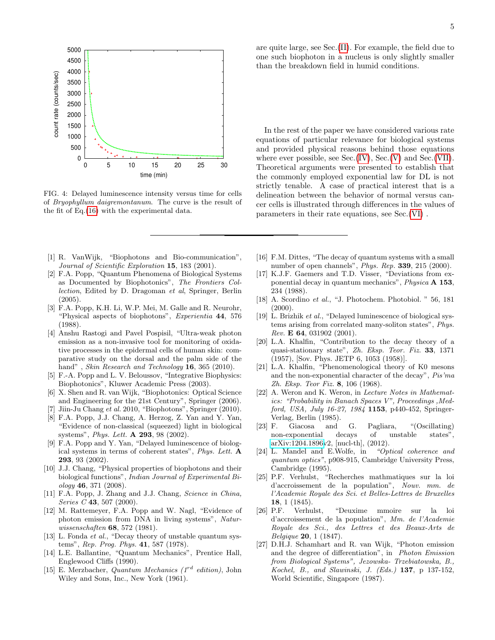

FIG. 4: Delayed luminescence intensity versus time for cells of Bryophyllum daigremontanum. The curve is the result of the fit of Eq.[\(16\)](#page-3-8) with the experimental data.

- <span id="page-4-0"></span>[1] R. VanWijk, "Biophotons and Bio-communication", Journal of Scientific Exploration 15, 183 (2001).
- <span id="page-4-6"></span>[2] F.A. Popp, "Quantum Phenomena of Biological Systems as Documented by Biophotonics", The Frontiers Collection, Edited by D. Dragoman et al, Springer, Berlin (2005).
- [3] F.A. Popp, K.H. Li, W.P. Mei, M. Galle and R. Neurohr, "Physical aspects of biophotons", Experientia 44, 576 (1988).
- <span id="page-4-1"></span>[4] Anshu Rastogi and Pavel Pospisil, "Ultra-weak photon emission as a non-invasive tool for monitoring of oxidative processes in the epidermal cells of human skin: comparative study on the dorsal and the palm side of the hand", Skin Research and Technology 16, 365 (2010).
- <span id="page-4-4"></span>[5] F.-A. Popp and L. V. Beloussov, "Integrative Biophysics: Biophotonics", Kluwer Academic Press (2003).
- [6] X. Shen and R. van Wijk, "Biophotonics: Optical Science and Engineering for the 21st Century", Springer (2006).
- <span id="page-4-5"></span>[7] Jiin-Ju Chang et al. 2010, "Biophotons", Springer (2010).
- <span id="page-4-2"></span>[8] F.A. Popp, J.J. Chang, A. Herzog, Z. Yan and Y. Yan, "Evidence of non-classical (squeezed) light in biological systems", *Phys. Lett.* **A 293**, 98 (2002).
- [9] F.A. Popp and Y. Yan, "Delayed luminescence of biological systems in terms of coherent states", Phys. Lett. A 293, 93 (2002).
- <span id="page-4-3"></span>[10] J.J. Chang, "Physical properties of biophotons and their biological functions", Indian Journal of Experimental Bi- $\omega \log y$  46, 371 (2008).
- <span id="page-4-7"></span>[11] F.A. Popp, J. Zhang and J.J. Chang, Science in China, Series  $C$  43, 507 (2000).
- <span id="page-4-8"></span>[12] M. Rattemeyer, F.A. Popp and W. Nagl, "Evidence of photon emission from DNA in living systems", Naturwissenschaften 68, 572 (1981).
- <span id="page-4-9"></span>[13] L. Fonda *et al.*, "Decay theory of unstable quantum systems", Rep. Prog. Phys. 41, 587 (1978).
- <span id="page-4-10"></span>[14] L.E. Ballantine, "Quantum Mechanics", Prentice Hall, Englewood Cliffs (1990).
- <span id="page-4-11"></span>[15] E. Merzbacher, Quantum Mechanics  $(I^{rd}$  edition), John Wiley and Sons, Inc., New York (1961).

are quite large, see Sec.[\(II\)](#page-0-0). For example, the field due to one such biophoton in a nucleus is only slightly smaller than the breakdown field in humid conditions.

In the rest of the paper we have considered various rate equations of particular relevance for biological systems and provided physical reasons behind those equations where ever possible, see  $Sec.(IV)$  $Sec.(IV)$ ,  $Sec.(V)$  $Sec.(V)$  and  $Sec.(VII)$  $Sec.(VII)$ . Theoretical arguments were presented to establish that the commonly employed exponential law for DL is not strictly tenable. A case of practical interest that is a delineation between the behavior of normal versus cancer cells is illustrated through differences in the values of parameters in their rate equations, see Sec.[\(VI\)](#page-3-0) .

- <span id="page-4-12"></span>[16] F.M. Dittes, "The decay of quantum systems with a small number of open channels", Phys. Rep. 339, 215 (2000).
- <span id="page-4-13"></span>[17] K.J.F. Gaemers and T.D. Visser, "Deviations from exponential decay in quantum mechanics", Physica A 153, 234 (1988).
- <span id="page-4-14"></span>[18] A. Scordino et al., "J. Photochem. Photobiol. " 56, 181 (2000).
- <span id="page-4-15"></span>[19] L. Brizhik et al., "Delayed luminescence of biological systems arising from correlated many-soliton states", Phys. Rev. E 64, 031902 (2001).
- <span id="page-4-16"></span>[20] L.A. Khalfin, "Contribution to the decay theory of a quasi-stationary state", Zh. Eksp. Teor. Fiz. 33, 1371 (1957), [Sov. Phys. JETP 6, 1053 (1958)].
- <span id="page-4-17"></span>[21] L.A. Khalfin, "Phenomenological theory of K0 mesons and the non-exponential character of the decay", Pis'ma Zh. Eksp. Teor Fiz. 8, 106 (1968).
- <span id="page-4-18"></span>[22] A. Weron and K. Weron, in *Lecture Notes in Mathemat*ics: "Probability in Banach Spaces V", Proceedings ,Medford, USA, July 16-27, 1984 1153, p440-452, Springer-Verlag, Berlin (1985).
- <span id="page-4-19"></span>[23] F. Giacosa and G. Pagliara, "(Oscillating) non-exponential decays of unstable states", [arXiv:1204.1896v](http://arxiv.org/abs/1204.1896)2, [nucl-th], (2012).
- <span id="page-4-20"></span>[24] L. Mandel and E.Wolfe, in "Optical coherence and quantum optics", p908-915, Cambridge University Press, Cambridge (1995).
- <span id="page-4-21"></span>[25] P.F. Verhulst, "Recherches mathmatiques sur la loi d'accroissement de la population", Nouv. mm. de l'Academie Royale des Sci. et Belles-Lettres de Bruxelles 18, 1 (1845).
- <span id="page-4-22"></span>[26] P.F. Verhulst, "Deuxime mmoire sur la loi d'accroissement de la population", Mm. de l'Academie Royale des Sci., des Lettres et des Beaux-Arts de Belgique 20, 1 (1847).
- <span id="page-4-23"></span>[27] D.H.J. Schamhart and R. van Wijk, "Photon emission and the degree of differentiation", in Photon Emission from Biological Systems", Jezowska- Trzebiatowska, B., Kochel, B., and Slawinski, J. (Eds.) 137, p 137-152, World Scientific, Singapore (1987).